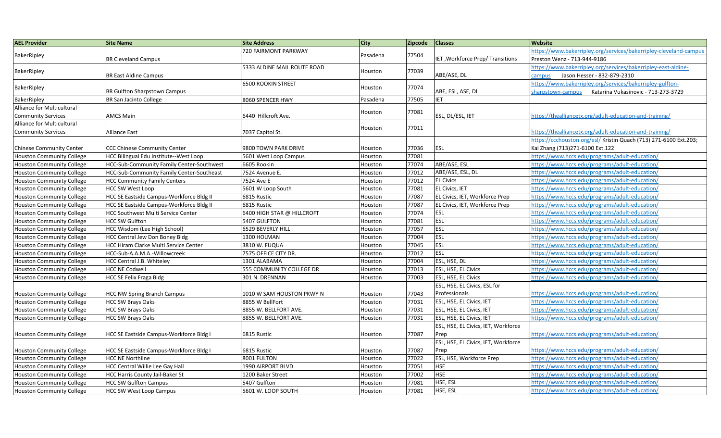| <b>AEL Provider</b>              | <b>Site Name</b>                                 | <b>Site Address</b>         | City     | <b>Zipcode</b> | <b>Classes</b>                      | <b>Website</b>                                                    |
|----------------------------------|--------------------------------------------------|-----------------------------|----------|----------------|-------------------------------------|-------------------------------------------------------------------|
| BakerRipley                      | <b>BR Cleveland Campus</b>                       | 720 FAIRMONT PARKWAY        | Pasadena | 77504          |                                     | https://www.bakerripley.org/services/bakerripley-cleveland-campus |
|                                  |                                                  |                             |          |                | IET, Workforce Prep/ Transitions    | Preston Wenz - 713-944-9186                                       |
|                                  |                                                  | 5333 ALDINE MAIL ROUTE ROAD | Houston  |                |                                     | https://www.bakerripley.org/services/bakerripley-east-aldine-     |
| BakerRipley                      | <b>BR East Aldine Campus</b>                     |                             |          | 77039          | ABE/ASE, DL                         | Jason Hesser - 832-879-2310<br>campus                             |
|                                  |                                                  | <b>6500 ROOKIN STREET</b>   |          | 77074          |                                     | https://www.bakerripley.org/services/bakerripley-gulfton-         |
| BakerRipley                      | <b>BR Gulfton Sharpstown Campus</b>              |                             | Houston  |                | ABE, ESL, ASE, DL                   | Katarina Vukasinovic - 713-273-3729<br>sharpstown-campus          |
| BakerRipley                      | BR San Jacinto College                           | 8060 SPENCER HWY            | Pasadena | 77505          | <b>IET</b>                          |                                                                   |
| Alliance for Multicultural       |                                                  |                             |          | 77081          |                                     |                                                                   |
| <b>Community Services</b>        | <b>AMCS Main</b>                                 | 6440 Hillcroft Ave.         | Houston  |                | ESL, DL/ESL, IET                    | /1ttps://thealliancetx.org/adult-education-and-training           |
| Alliance for Multicultural       |                                                  |                             |          | 77011          |                                     |                                                                   |
| <b>Community Services</b>        | <b>Alliance East</b>                             | 7037 Capitol St.            | Houston  |                |                                     | https://thealliancetx.org/adult-education-and-training/           |
|                                  |                                                  |                             |          |                |                                     | https://ccchouston.org/esl/ Kristin Quach (713) 271-6100 Ext.203; |
| <b>Chinese Community Center</b>  | <b>CCC Chinese Community Center</b>              | 9800 TOWN PARK DRIVE        | Houston  | 77036          | ESL                                 | Kai Zhang (713)271-6100 Ext.122                                   |
| <b>Houston Community College</b> | HCC Bilingual Edu Institute--West Loop           | 5601 West Loop Campus       | Houston  | 77081          |                                     | https://www.hccs.edu/programs/adult-education/                    |
| <b>Houston Community College</b> | HCC-Sub-Community Family Center-Southwest        | 6605 Rookin                 | Houston  | 77074          | ABE/ASE, ESL                        | https://www.hccs.edu/programs/adult-education/                    |
| <b>Houston Community College</b> | <b>HCC-Sub-Community Family Center-Southeast</b> | 7524 Avenue E.              | Houston  | 77012          | ABE/ASE, ESL, DL                    | https://www.hccs.edu/programs/adult-education/                    |
| <b>Houston Community College</b> | <b>HCC Community Family Centers</b>              | 7524 Ave E                  | Houston  | 77012          | <b>EL Civics</b>                    | https://www.hccs.edu/programs/adult-education/                    |
| <b>Houston Community College</b> | <b>HCC SW West Loop</b>                          | 5601 W Loop South           | Houston  | 77081          | <b>EL Civics, IET</b>               | https://www.hccs.edu/programs/adult-education/                    |
| <b>Houston Community College</b> | HCC SE Eastside Campus-Workforce Bldg II         | 6815 Rustic                 | Houston  | 77087          | EL Civics, IET, Workforce Prep      | https://www.hccs.edu/programs/adult-education/                    |
| <b>Houston Community College</b> | <b>HCC SE Eastside Campus-Workforce Bldg II</b>  | 6815 Rustic                 | Houston  | 77087          | EL Civics, IET, Workforce Prep      | https://www.hccs.edu/programs/adult-education/                    |
| <b>Houston Community College</b> | <b>HCC Southwest Multi Service Center</b>        | 6400 HIGH STAR @ HILLCROFT  | Houston  | 77074          | <b>ESL</b>                          | https://www.hccs.edu/programs/adult-education/                    |
| <b>Houston Community College</b> | <b>HCC SW Gulfton</b>                            | 5407 GULFTON                | Houston  | 77081          | <b>ESL</b>                          | https://www.hccs.edu/programs/adult-education/                    |
| <b>Houston Community College</b> | HCC Wisdom (Lee High School)                     | 6529 BEVERLY HILL           | Houston  | 77057          | <b>ESL</b>                          | https://www.hccs.edu/programs/adult-education/                    |
| <b>Houston Community College</b> | <b>HCC Central Jew Don Boney Bldg</b>            | 1300 HOLMAN                 | Houston  | 77004          | <b>ESL</b>                          | /1ttps://www.hccs.edu/programs/adult-education                    |
| <b>Houston Community College</b> | HCC Hiram Clarke Multi Service Center            | 3810 W. FUQUA               | Houston  | 77045          | <b>ESL</b>                          | https://www.hccs.edu/programs/adult-education/                    |
| <b>Houston Community College</b> | HCC-Sub-A.A.M.A.-Willowcreek                     | 7575 OFFICE CITY DR.        | Houston  | 77012          | <b>ESL</b>                          | https://www.hccs.edu/programs/adult-education/                    |
| <b>Houston Community College</b> | HCC Central J.B. Whiteley                        | 1301 ALABAMA                | Houston  | 77004          | ESL, HSE, DL                        | https://www.hccs.edu/programs/adult-education/                    |
| <b>Houston Community College</b> | <b>HCC NE Codwell</b>                            | 555 COMMUNITY COLLEGE DR    | Houston  | 77013          | ESL, HSE, EL Civics                 | https://www.hccs.edu/programs/adult-education/                    |
| <b>Houston Community College</b> | <b>HCC SE Felix Fraga Bldg</b>                   | 301 N. DRENNAN              | Houston  | 77003          | ESL, HSE, EL Civics                 | https://www.hccs.edu/programs/adult-education/                    |
|                                  |                                                  |                             |          |                | ESL, HSE, EL Civics, ESL for        |                                                                   |
| <b>Houston Community College</b> | <b>HCC NW Spring Branch Campus</b>               | 1010 W SAM HOUSTON PKWY N   | Houston  | 77043          | Professionals                       | https://www.hccs.edu/programs/adult-education/                    |
| <b>Houston Community College</b> | <b>HCC SW Brays Oaks</b>                         | 8855 W BellFort             | Houston  | 77031          | ESL, HSE, EL Civics, IET            | https://www.hccs.edu/programs/adult-education/                    |
| <b>Houston Community College</b> | HCC SW Brays Oaks                                | 8855 W. BELLFORT AVE.       | Houston  | 77031          | ESL, HSE, EL Civics, IET            | https://www.hccs.edu/programs/adult-education/                    |
| <b>Houston Community College</b> | <b>HCC SW Brays Oaks</b>                         | 8855 W. BELLFORT AVE.       | Houston  | 77031          | ESL, HSE, EL Civics, IET            | https://www.hccs.edu/programs/adult-education/                    |
|                                  |                                                  |                             |          |                | ESL, HSE, EL Civics, IET, Workforce |                                                                   |
| <b>Houston Community College</b> | HCC SE Eastside Campus-Workforce Bldg I          | 6815 Rustic                 | Houston  | 77087          | Prep                                | https://www.hccs.edu/programs/adult-education/                    |
|                                  |                                                  |                             |          |                | ESL, HSE, EL Civics, IET, Workforce |                                                                   |
| <b>Houston Community College</b> | HCC SE Eastside Campus-Workforce Bldg I          | 6815 Rustic                 | Houston  | 77087          | Prep                                | https://www.hccs.edu/programs/adult-education/                    |
| <b>Houston Community College</b> | <b>HCC NE Northline</b>                          | 8001 FULTON                 | Houston  | 77022          | ESL, HSE, Workforce Prep            | https://www.hccs.edu/programs/adult-education/                    |
| <b>Houston Community College</b> | <b>HCC Central Willie Lee Gay Hall</b>           | 1990 AIRPORT BLVD           | Houston  | 77051          | <b>HSE</b>                          | https://www.hccs.edu/programs/adult-education/                    |
| <b>Houston Community College</b> | <b>HCC Harris County Jail-Baker St</b>           | 1200 Baker Street           | Houston  | 77002          | <b>HSE</b>                          | https://www.hccs.edu/programs/adult-education/                    |
| <b>Houston Community College</b> | <b>HCC SW Gulfton Campus</b>                     | 5407 Gulfton                | Houston  | 77081          | HSE, ESL                            | https://www.hccs.edu/programs/adult-education/                    |
| <b>Houston Community College</b> | <b>HCC SW West Loop Campus</b>                   | 5601 W. LOOP SOUTH          | Houston  | 77081          | HSE, ESL                            | https://www.hccs.edu/programs/adult-education/                    |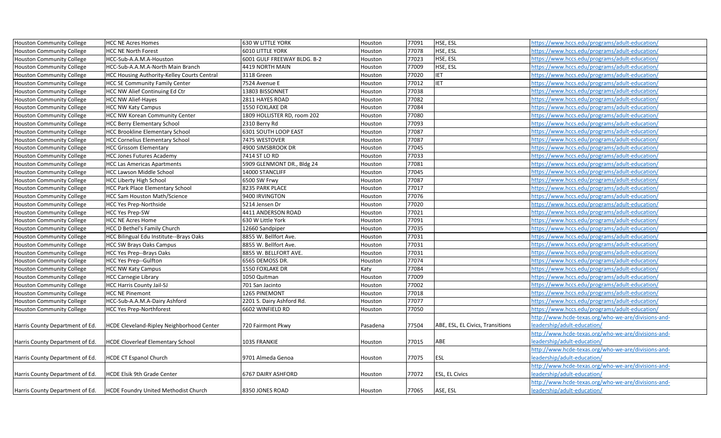| <b>Houston Community College</b> | <b>HCC NE Acres Homes</b>                        | 630 W LITTLE YORK           | Houston  | 77091 | HSE, ESL                         | https://www.hccs.edu/programs/adult-education/      |
|----------------------------------|--------------------------------------------------|-----------------------------|----------|-------|----------------------------------|-----------------------------------------------------|
| <b>Houston Community College</b> | <b>HCC NE North Forest</b>                       | <b>6010 LITTLE YORK</b>     | Houston  | 77078 | HSE, ESL                         | /1ttps://www.hccs.edu/programs/adult-education      |
| <b>Houston Community College</b> | HCC-Sub-A.A.M.A-Houston                          | 6001 GULF FREEWAY BLDG. B-2 | Houston  | 77023 | HSE, ESL                         | https://www.hccs.edu/programs/adult-education/      |
| <b>Houston Community College</b> | HCC-Sub-A.A.M.A-North Main Branch                | 4419 NORTH MAIN             | Houston  | 77009 | HSE, ESL                         | https://www.hccs.edu/programs/adult-education/      |
| <b>Houston Community College</b> | HCC Housing Authority-Kelley Courts Central      | 3118 Green                  | Houston  | 77020 | <b>IET</b>                       | https://www.hccs.edu/programs/adult-education/      |
| Houston Community College        | <b>HCC SE Community Family Center</b>            | 7524 Avenue E               | Houston  | 77012 | IET                              | https://www.hccs.edu/programs/adult-education/      |
| <b>Houston Community College</b> | <b>HCC NW Alief Continuing Ed Ctr</b>            | 13803 BISSONNET             | Houston  | 77038 |                                  | https://www.hccs.edu/programs/adult-education/      |
| <b>Houston Community College</b> | <b>HCC NW Alief-Hayes</b>                        | 2811 HAYES ROAD             | Houston  | 77082 |                                  | https://www.hccs.edu/programs/adult-education/      |
| <b>Houston Community College</b> | <b>HCC NW Katy Campus</b>                        | 1550 FOXLAKE DR             | Houston  | 77084 |                                  | /1ttps://www.hccs.edu/programs/adult-education      |
| <b>Houston Community College</b> | <b>HCC NW Korean Community Center</b>            | 1809 HOLLISTER RD, room 202 | Houston  | 77080 |                                  | https://www.hccs.edu/programs/adult-education/      |
| <b>Houston Community College</b> | <b>HCC Berry Elementary School</b>               | 2310 Berry Rd               | Houston  | 77093 |                                  | https://www.hccs.edu/programs/adult-education/      |
| <b>Houston Community College</b> | <b>HCC Brookline Elementary School</b>           | 6301 SOUTH LOOP EAST        | Houston  | 77087 |                                  | https://www.hccs.edu/programs/adult-education/      |
| <b>Houston Community College</b> | <b>HCC Cornelius Elementary School</b>           | 7475 WESTOVER               | Houston  | 77087 |                                  | https://www.hccs.edu/programs/adult-education/      |
| <b>Houston Community College</b> | <b>HCC Grissom Elementary</b>                    | 4900 SIMSBROOK DR           | Houston  | 77045 |                                  | https://www.hccs.edu/programs/adult-education/      |
| <b>Houston Community College</b> | <b>HCC Jones Futures Academy</b>                 | 7414 ST LO RD               | Houston  | 77033 |                                  | https://www.hccs.edu/programs/adult-education/      |
| <b>Houston Community College</b> | <b>HCC Las Americas Apartments</b>               | 5909 GLENMONT DR., Bldg 24  | Houston  | 77081 |                                  | https://www.hccs.edu/programs/adult-education/      |
| <b>Houston Community College</b> | <b>HCC Lawson Middle School</b>                  | 14000 STANCLIFF             | Houston  | 77045 |                                  | https://www.hccs.edu/programs/adult-education/      |
| <b>Houston Community College</b> | <b>HCC Liberty High School</b>                   | 6500 SW Frwy                | Houston  | 77087 |                                  | https://www.hccs.edu/programs/adult-education/      |
| <b>Houston Community College</b> | <b>HCC Park Place Elementary School</b>          | 8235 PARK PLACE             | Houston  | 77017 |                                  | https://www.hccs.edu/programs/adult-education/      |
| <b>Houston Community College</b> | <b>HCC Sam Houston Math/Science</b>              | 9400 IRVINGTON              | Houston  | 77076 |                                  | https://www.hccs.edu/programs/adult-education/      |
| <b>Houston Community College</b> | <b>HCC Yes Prep-Northside</b>                    | 5214 Jensen Dr              | Houston  | 77020 |                                  | https://www.hccs.edu/programs/adult-education/      |
| Houston Community College        | <b>HCC Yes Prep-SW</b>                           | 4411 ANDERSON ROAD          | Houston  | 77021 |                                  | https://www.hccs.edu/programs/adult-education/      |
| <b>Houston Community College</b> | <b>HCC NE Acres Home</b>                         | 630 W Little York           | Houston  | 77091 |                                  | https://www.hccs.edu/programs/adult-education/      |
| <b>Houston Community College</b> | HCC D Bethel's Family Church                     | 12660 Sandpiper             | Houston  | 77035 |                                  | https://www.hccs.edu/programs/adult-education/      |
| <b>Houston Community College</b> | HCC Bilingual Edu Institute--Brays Oaks          | 8855 W. Bellfort Ave.       | Houston  | 77031 |                                  | https://www.hccs.edu/programs/adult-education/      |
| <b>Houston Community College</b> | <b>HCC SW Brays Oaks Campus</b>                  | 8855 W. Bellfort Ave.       | Houston  | 77031 |                                  | https://www.hccs.edu/programs/adult-education/      |
| <b>Houston Community College</b> | HCC Yes Prep--Brays Oaks                         | 8855 W. BELLFORT AVE.       | Houston  | 77031 |                                  | https://www.hccs.edu/programs/adult-education/      |
| <b>Houston Community College</b> | <b>HCC Yes Prep--Gulfton</b>                     | 6565 DEMOSS DR.             | Houston  | 77074 |                                  | https://www.hccs.edu/programs/adult-education/      |
| <b>Houston Community College</b> | <b>HCC NW Katy Campus</b>                        | 1550 FOXLAKE DR             | Katy     | 77084 |                                  | https://www.hccs.edu/programs/adult-education/      |
| <b>Houston Community College</b> | <b>HCC Carnegie Library</b>                      | 1050 Quitman                | Houston  | 77009 |                                  | https://www.hccs.edu/programs/adult-education/      |
| <b>Houston Community College</b> | <b>HCC Harris County Jail-SJ</b>                 | 701 San Jacinto             | Houston  | 77002 |                                  | https://www.hccs.edu/programs/adult-education/      |
| Houston Community College        | <b>HCC NE Pinemont</b>                           | 1265 PINEMONT               | Houston  | 77018 |                                  | https://www.hccs.edu/programs/adult-education/      |
| Houston Community College        | HCC-Sub-A.A.M.A-Dairy Ashford                    | 2201 S. Dairy Ashford Rd.   | Houston  | 77077 |                                  | https://www.hccs.edu/programs/adult-education/      |
| <b>Houston Community College</b> | <b>HCC Yes Prep-Northforest</b>                  | 6602 WINFIELD RD            | Houston  | 77050 |                                  | https://www.hccs.edu/programs/adult-education/      |
|                                  |                                                  |                             |          |       |                                  | http://www.hcde-texas.org/who-we-are/divisions-and- |
| Harris County Department of Ed.  | <b>HCDE Cleveland-Ripley Neighborhood Center</b> | 720 Fairmont Pkwy           | Pasadena | 77504 | ABE, ESL, EL Civics, Transitions | eadership/adult-education/                          |
|                                  |                                                  |                             |          |       |                                  | http://www.hcde-texas.org/who-we-are/divisions-and- |
| Harris County Department of Ed.  | <b>HCDE Cloverleaf Elementary School</b>         | 1035 FRANKIE                | Houston  | 77015 | ABE                              | eadership/adult-education/                          |
|                                  |                                                  |                             |          |       |                                  | http://www.hcde-texas.org/who-we-are/divisions-and- |
| Harris County Department of Ed.  | <b>HCDE CT Espanol Church</b>                    | 9701 Almeda Genoa           | Houston  | 77075 | <b>ESL</b>                       | leadership/adult-education/                         |
|                                  |                                                  |                             |          |       |                                  | http://www.hcde-texas.org/who-we-are/divisions-and- |
| Harris County Department of Ed.  | <b>HCDE Elsik 9th Grade Center</b>               | 6767 DAIRY ASHFORD          | Houston  | 77072 | <b>ESL, EL Civics</b>            | eadership/adult-education/                          |
|                                  |                                                  |                             |          |       |                                  | http://www.hcde-texas.org/who-we-are/divisions-and- |
| Harris County Department of Ed.  | <b>HCDE Foundry United Methodist Church</b>      | 8350 JONES ROAD             | Houston  | 77065 | ASE, ESL                         | leadership/adult-education/                         |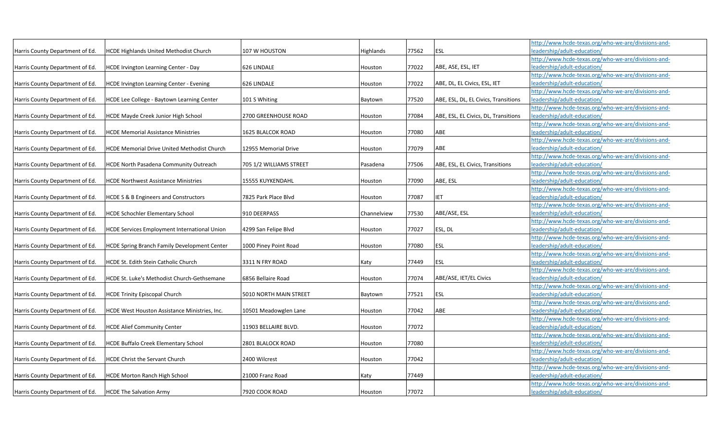|                                 |                                                     |                         |                  |       |                                      | http://www.hcde-texas.org/who-we-are/divisions-and- |
|---------------------------------|-----------------------------------------------------|-------------------------|------------------|-------|--------------------------------------|-----------------------------------------------------|
| Harris County Department of Ed. | <b>HCDE Highlands United Methodist Church</b>       | 107 W HOUSTON           | <b>Highlands</b> | 77562 | <b>ESL</b>                           | eadership/adult-education/                          |
|                                 |                                                     |                         |                  |       |                                      | http://www.hcde-texas.org/who-we-are/divisions-and- |
| Harris County Department of Ed. | HCDE Irvington Learning Center - Day                | 626 LINDALE             | Houston          | 77022 | ABE, ASE, ESL, IET                   | leadership/adult-education/                         |
|                                 |                                                     |                         |                  |       |                                      | http://www.hcde-texas.org/who-we-are/divisions-and- |
| Harris County Department of Ed. | HCDE Irvington Learning Center - Evening            | 626 LINDALE             | Houston          | 77022 | ABE, DL, EL Civics, ESL, IET         | leadership/adult-education/                         |
|                                 |                                                     |                         |                  |       |                                      | http://www.hcde-texas.org/who-we-are/divisions-and- |
| Harris County Department of Ed. | HCDE Lee College - Baytown Learning Center          | 101 S Whiting           | Baytown          | 77520 | ABE, ESL, DL, EL Civics, Transitions | leadership/adult-education/                         |
|                                 |                                                     |                         |                  |       |                                      | http://www.hcde-texas.org/who-we-are/divisions-and- |
| Harris County Department of Ed. | HCDE Mayde Creek Junior High School                 | 2700 GREENHOUSE ROAD    | Houston          | 77084 | ABE, ESL, EL Civics, DL, Transitions | leadership/adult-education/                         |
|                                 |                                                     |                         |                  |       |                                      | http://www.hcde-texas.org/who-we-are/divisions-and- |
| Harris County Department of Ed. | <b>HCDE Memorial Assistance Ministries</b>          | 1625 BLALCOK ROAD       | Houston          | 77080 | ABE                                  | leadership/adult-education/                         |
|                                 |                                                     |                         |                  |       |                                      | http://www.hcde-texas.org/who-we-are/divisions-and- |
| Harris County Department of Ed. | <b>HCDE Memorial Drive United Methodist Church</b>  | 12955 Memorial Drive    | Houston          | 77079 | ABE                                  | leadership/adult-education/                         |
|                                 |                                                     |                         |                  |       |                                      | http://www.hcde-texas.org/who-we-are/divisions-and- |
| Harris County Department of Ed. | HCDE North Pasadena Community Outreach              | 705 1/2 WILLIAMS STREET | Pasadena         | 77506 | ABE, ESL, EL Civics, Transitions     | leadership/adult-education/                         |
|                                 |                                                     |                         |                  |       |                                      | http://www.hcde-texas.org/who-we-are/divisions-and- |
| Harris County Department of Ed. | <b>HCDE Northwest Assistance Ministries</b>         | 15555 KUYKENDAHL        | Houston          | 77090 | ABE, ESL                             | leadership/adult-education/                         |
|                                 |                                                     |                         |                  |       |                                      | http://www.hcde-texas.org/who-we-are/divisions-and- |
| Harris County Department of Ed. | <b>HCDE S &amp; B Engineers and Constructors</b>    | 7825 Park Place Blvd    | Houston          | 77087 | <b>IET</b>                           | eadership/adult-education/                          |
|                                 |                                                     |                         |                  |       |                                      | http://www.hcde-texas.org/who-we-are/divisions-and- |
| Harris County Department of Ed. | <b>HCDE Schochler Elementary School</b>             | 910 DEERPASS            | Channelview      | 77530 | ABE/ASE, ESL                         | leadership/adult-education/                         |
|                                 |                                                     |                         |                  |       |                                      | http://www.hcde-texas.org/who-we-are/divisions-and- |
| Harris County Department of Ed. | HCDE Services Employment International Union        | 4299 San Felipe Blvd    | Houston          | 77027 | ESL, DL                              | leadership/adult-education/                         |
|                                 |                                                     |                         |                  |       |                                      | http://www.hcde-texas.org/who-we-are/divisions-and- |
| Harris County Department of Ed. | <b>HCDE Spring Branch Family Development Center</b> | 1000 Piney Point Road   | Houston          | 77080 | <b>ESL</b>                           | leadership/adult-education/                         |
|                                 |                                                     |                         |                  |       |                                      | http://www.hcde-texas.org/who-we-are/divisions-and- |
| Harris County Department of Ed. | HCDE St. Edith Stein Catholic Church                | 3311 N FRY ROAD         | Katy             | 77449 | <b>ESL</b>                           | leadership/adult-education/                         |
|                                 |                                                     |                         |                  |       |                                      | http://www.hcde-texas.org/who-we-are/divisions-and- |
| Harris County Department of Ed. | HCDE St. Luke's Methodist Church-Gethsemane         | 6856 Bellaire Road      | Houston          | 77074 | ABE/ASE, IET/EL Civics               | leadership/adult-education/                         |
|                                 |                                                     |                         |                  |       |                                      | http://www.hcde-texas.org/who-we-are/divisions-and- |
| Harris County Department of Ed. | <b>HCDE Trinity Episcopal Church</b>                | 5010 NORTH MAIN STREET  | Baytown          | 77521 | <b>ESL</b>                           | leadership/adult-education/                         |
|                                 |                                                     |                         |                  |       |                                      | http://www.hcde-texas.org/who-we-are/divisions-and- |
| Harris County Department of Ed. | HCDE West Houston Assistance Ministries, Inc.       | 10501 Meadowglen Lane   | Houston          | 77042 | ABE                                  | eadership/adult-education/                          |
|                                 |                                                     |                         |                  |       |                                      | http://www.hcde-texas.org/who-we-are/divisions-and- |
| Harris County Department of Ed. | <b>HCDE Alief Community Center</b>                  | 11903 BELLAIRE BLVD.    | Houston          | 77072 |                                      | leadership/adult-education/                         |
|                                 |                                                     |                         |                  |       |                                      | http://www.hcde-texas.org/who-we-are/divisions-and- |
| Harris County Department of Ed. | <b>HCDE Buffalo Creek Elementary School</b>         | 2801 BLALOCK ROAD       | Houston          | 77080 |                                      | leadership/adult-education/                         |
|                                 |                                                     |                         |                  |       |                                      | http://www.hcde-texas.org/who-we-are/divisions-and- |
| Harris County Department of Ed. | <b>HCDE Christ the Servant Church</b>               | 2400 Wilcrest           | Houston          | 77042 |                                      | eadership/adult-education/                          |
|                                 |                                                     |                         |                  |       |                                      | http://www.hcde-texas.org/who-we-are/divisions-and- |
| Harris County Department of Ed. | <b>HCDE Morton Ranch High School</b>                | 21000 Franz Road        | Katy             | 77449 |                                      | leadership/adult-education/                         |
|                                 |                                                     |                         |                  |       |                                      | http://www.hcde-texas.org/who-we-are/divisions-and- |
| Harris County Department of Ed. | <b>HCDE The Salvation Army</b>                      | 7920 COOK ROAD          | Houston          | 77072 |                                      | leadership/adult-education/                         |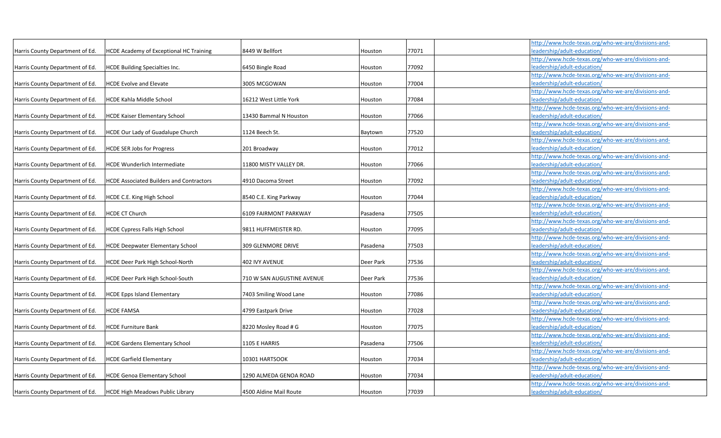|                                 |                                                 |                            |           |       | http://www.hcde-texas.org/who-we-are/divisions-and- |  |
|---------------------------------|-------------------------------------------------|----------------------------|-----------|-------|-----------------------------------------------------|--|
| Harris County Department of Ed. | <b>HCDE Academy of Exceptional HC Training</b>  | 8449 W Bellfort            | Houston   | 77071 | leadership/adult-education/                         |  |
|                                 |                                                 |                            |           |       | http://www.hcde-texas.org/who-we-are/divisions-and- |  |
| Harris County Department of Ed. | <b>HCDE Building Specialties Inc.</b>           | 6450 Bingle Road           | Houston   | 77092 | leadership/adult-education/                         |  |
|                                 |                                                 |                            |           |       | http://www.hcde-texas.org/who-we-are/divisions-and- |  |
| Harris County Department of Ed. | <b>HCDE Evolve and Elevate</b>                  | 3005 MCGOWAN               | Houston   | 77004 | leadership/adult-education/                         |  |
|                                 |                                                 |                            |           |       | http://www.hcde-texas.org/who-we-are/divisions-and- |  |
| Harris County Department of Ed. | <b>HCDE Kahla Middle School</b>                 | 16212 West Little York     | Houston   | 77084 | leadership/adult-education,                         |  |
|                                 |                                                 |                            |           |       | http://www.hcde-texas.org/who-we-are/divisions-and- |  |
| Harris County Department of Ed. | <b>HCDE Kaiser Elementary School</b>            | 13430 Bammal N Houston     | Houston   | 77066 | eadership/adult-education/                          |  |
|                                 |                                                 |                            |           |       | http://www.hcde-texas.org/who-we-are/divisions-and- |  |
| Harris County Department of Ed. | HCDE Our Lady of Guadalupe Church               | 1124 Beech St.             | Baytown   | 77520 | leadership/adult-education/                         |  |
|                                 |                                                 |                            |           |       | http://www.hcde-texas.org/who-we-are/divisions-and- |  |
| Harris County Department of Ed. | <b>HCDE SER Jobs for Progress</b>               | 201 Broadway               | Houston   | 77012 | leadership/adult-education/                         |  |
|                                 |                                                 |                            |           |       | http://www.hcde-texas.org/who-we-are/divisions-and- |  |
| Harris County Department of Ed. | <b>HCDE Wunderlich Intermediate</b>             | 11800 MISTY VALLEY DR.     | Houston   | 77066 | leadership/adult-education/                         |  |
|                                 |                                                 |                            |           |       | http://www.hcde-texas.org/who-we-are/divisions-and- |  |
| Harris County Department of Ed. | <b>HCDE Associated Builders and Contractors</b> | 4910 Dacoma Street         | Houston   | 77092 | leadership/adult-education/                         |  |
|                                 |                                                 |                            |           |       | http://www.hcde-texas.org/who-we-are/divisions-and- |  |
| Harris County Department of Ed. | HCDE C.E. King High School                      | 8540 C.E. King Parkway     | Houston   | 77044 | leadership/adult-education/                         |  |
|                                 |                                                 |                            |           |       | http://www.hcde-texas.org/who-we-are/divisions-and- |  |
| Harris County Department of Ed. | <b>HCDE CT Church</b>                           | 6109 FAIRMONT PARKWAY      | Pasadena  | 77505 | leadership/adult-education/                         |  |
|                                 |                                                 |                            |           |       | http://www.hcde-texas.org/who-we-are/divisions-and- |  |
| Harris County Department of Ed. | <b>HCDE Cypress Falls High School</b>           | 9811 HUFFMEISTER RD.       | Houston   | 77095 | leadership/adult-education/                         |  |
|                                 |                                                 |                            |           |       | http://www.hcde-texas.org/who-we-are/divisions-and- |  |
| Harris County Department of Ed. | <b>HCDE Deepwater Elementary School</b>         | 309 GLENMORE DRIVE         | Pasadena  | 77503 | leadership/adult-education/                         |  |
|                                 |                                                 |                            |           |       | http://www.hcde-texas.org/who-we-are/divisions-and- |  |
| Harris County Department of Ed. | HCDE Deer Park High School-North                | 402 IVY AVENUE             | Deer Park | 77536 | leadership/adult-education/                         |  |
|                                 |                                                 |                            |           |       | http://www.hcde-texas.org/who-we-are/divisions-and- |  |
| Harris County Department of Ed. | HCDE Deer Park High School-South                | 710 W SAN AUGUSTINE AVENUE | Deer Park | 77536 | leadership/adult-education/                         |  |
|                                 |                                                 |                            |           |       | http://www.hcde-texas.org/who-we-are/divisions-and- |  |
| Harris County Department of Ed. | <b>HCDE Epps Island Elementary</b>              | 7403 Smiling Wood Lane     | Houston   | 77086 | leadership/adult-education/                         |  |
|                                 |                                                 |                            |           |       | http://www.hcde-texas.org/who-we-are/divisions-and- |  |
| Harris County Department of Ed. | <b>HCDE FAMSA</b>                               | 4799 Eastpark Drive        | Houston   | 77028 | eadership/adult-education/                          |  |
|                                 |                                                 |                            |           |       | http://www.hcde-texas.org/who-we-are/divisions-and- |  |
| Harris County Department of Ed. | <b>HCDE Furniture Bank</b>                      | 8220 Mosley Road # G       | Houston   | 77075 | leadership/adult-education/                         |  |
|                                 |                                                 |                            |           |       | http://www.hcde-texas.org/who-we-are/divisions-and- |  |
| Harris County Department of Ed. | <b>HCDE Gardens Elementary School</b>           | 1105 E HARRIS              | Pasadena  | 77506 | leadership/adult-education/                         |  |
|                                 |                                                 |                            |           |       | http://www.hcde-texas.org/who-we-are/divisions-and- |  |
| Harris County Department of Ed. | <b>HCDE Garfield Elementary</b>                 | 10301 HARTSOOK             | Houston   | 77034 | leadership/adult-education/                         |  |
|                                 |                                                 |                            |           |       | http://www.hcde-texas.org/who-we-are/divisions-and- |  |
| Harris County Department of Ed. | <b>HCDE Genoa Elementary School</b>             | 1290 ALMEDA GENOA ROAD     | Houston   | 77034 | leadership/adult-education/                         |  |
|                                 |                                                 |                            |           |       | http://www.hcde-texas.org/who-we-are/divisions-and- |  |
| Harris County Department of Ed. | <b>HCDE High Meadows Public Library</b>         | 4500 Aldine Mail Route     | Houston   | 77039 | leadership/adult-education/                         |  |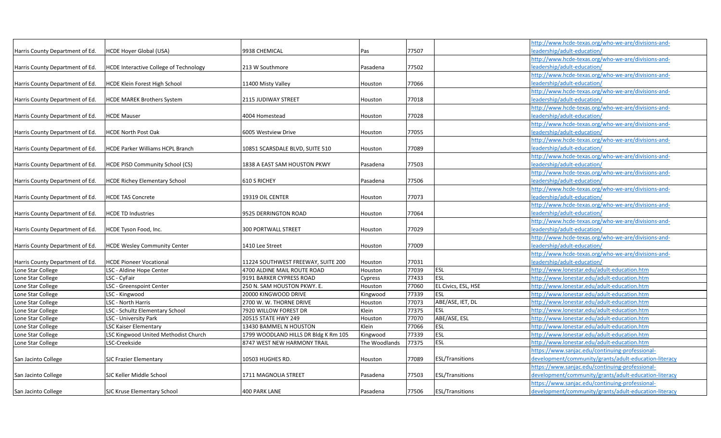|                                 |                                               |                                      |               |       |                        | http://www.hcde-texas.org/who-we-are/divisions-and-   |
|---------------------------------|-----------------------------------------------|--------------------------------------|---------------|-------|------------------------|-------------------------------------------------------|
| Harris County Department of Ed. | <b>HCDE Hover Global (USA)</b>                | 9938 CHEMICAL                        | Pas           | 77507 |                        | leadership/adult-education/                           |
|                                 |                                               |                                      |               |       |                        | http://www.hcde-texas.org/who-we-are/divisions-and-   |
| Harris County Department of Ed. | <b>HCDE Interactive College of Technology</b> | 213 W Southmore                      | Pasadena      | 77502 |                        | eadership/adult-education/                            |
|                                 |                                               |                                      |               |       |                        | http://www.hcde-texas.org/who-we-are/divisions-and-   |
| Harris County Department of Ed. | HCDE Klein Forest High School                 | 11400 Misty Valley                   | Houston       | 77066 |                        | eadership/adult-education/                            |
|                                 |                                               |                                      |               |       |                        | http://www.hcde-texas.org/who-we-are/divisions-and-   |
| Harris County Department of Ed. | <b>HCDE MAREK Brothers System</b>             | <b>2115 JUDIWAY STREET</b>           | Houston       | 77018 |                        | leadership/adult-education/                           |
|                                 |                                               |                                      |               |       |                        | http://www.hcde-texas.org/who-we-are/divisions-and-   |
| Harris County Department of Ed  | <b>HCDE Mauser</b>                            | 4004 Homestead                       | Houston       | 77028 |                        | eadership/adult-education/                            |
|                                 |                                               |                                      |               |       |                        | http://www.hcde-texas.org/who-we-are/divisions-and-   |
| Harris County Department of Ed. | <b>HCDE North Post Oak</b>                    | 6005 Westview Drive                  | Houston       | 77055 |                        | leadership/adult-education/                           |
|                                 |                                               |                                      |               |       |                        | http://www.hcde-texas.org/who-we-are/divisions-and-   |
| Harris County Department of Ed. | HCDE Parker Williams HCPL Branch              | 10851 SCARSDALE BLVD, SUITE 510      | Houston       | 77089 |                        | eadership/adult-education/                            |
|                                 |                                               |                                      |               |       |                        | http://www.hcde-texas.org/who-we-are/divisions-and-   |
| Harris County Department of Ed. | <b>HCDE PISD Community School (CS)</b>        | 1838 A EAST SAM HOUSTON PKWY         | Pasadena      | 77503 |                        | eadership/adult-education/                            |
|                                 |                                               |                                      |               |       |                        | http://www.hcde-texas.org/who-we-are/divisions-and-   |
| Harris County Department of Ed. | <b>HCDE Richey Elementary School</b>          | 610 S RICHEY                         | Pasadena      | 77506 |                        | eadership/adult-education/                            |
|                                 |                                               |                                      |               |       |                        | http://www.hcde-texas.org/who-we-are/divisions-and-   |
| Harris County Department of Ed. | <b>HCDE TAS Concrete</b>                      | 19319 OIL CENTER                     | Houston       | 77073 |                        | eadership/adult-education/                            |
|                                 |                                               |                                      |               |       |                        | http://www.hcde-texas.org/who-we-are/divisions-and-   |
| Harris County Department of Ed. | <b>HCDE TD Industries</b>                     | 9525 DERRINGTON ROAD                 | Houston       | 77064 |                        | leadership/adult-education/                           |
|                                 |                                               |                                      |               |       |                        | http://www.hcde-texas.org/who-we-are/divisions-and-   |
| Harris County Department of Ed. | HCDE Tyson Food, Inc.                         | 300 PORTWALL STREET                  | Houston       | 77029 |                        | eadership/adult-education/                            |
|                                 |                                               |                                      |               |       |                        | http://www.hcde-texas.org/who-we-are/divisions-and-   |
| Harris County Department of Ed. | <b>HCDE Wesley Community Center</b>           | 1410 Lee Street                      | Houston       | 77009 |                        | leadership/adult-education/                           |
|                                 |                                               |                                      |               |       |                        | http://www.hcde-texas.org/who-we-are/divisions-and-   |
| Harris County Department of Ed. | <b>HCDE Pioneer Vocational</b>                | 11224 SOUTHWEST FREEWAY, SUITE 200   | Houston       | 77031 |                        | eadership/adult-education/                            |
| Lone Star College               | LSC - Aldine Hope Center                      | 4700 ALDINE MAIL ROUTE ROAD          | Houston       | 77039 | <b>ESL</b>             | http://www.lonestar.edu/adult-education.htm           |
| Lone Star College               | LSC - CyFair                                  | 9191 BARKER CYPRESS ROAD             | Cypress       | 77433 | <b>ESL</b>             | nttp://www.lonestar.edu/adult-education.htm           |
| Lone Star College               | LSC - Greenspoint Center                      | 250 N. SAM HOUSTON PKWY. E.          | Houston       | 77060 | EL Civics, ESL, HSE    | http://www.lonestar.edu/adult-education.htm           |
| Lone Star College               | LSC - Kingwood                                | 20000 KINGWOOD DRIVE                 | Kingwood      | 77339 | ESL                    | http://www.lonestar.edu/adult-education.htm           |
| Lone Star College               | LSC - North Harris                            | 2700 W. W. THORNE DRIVE              | Houston       | 77073 | ABE/ASE, IET, DL       | nttp://www.lonestar.edu/adult-education.htm           |
| Lone Star College               | LSC - Schultz Elementary School               | 7920 WILLOW FOREST DR                | Klein         | 77375 | ESL                    | nttp://www.lonestar.edu/adult-education.htm           |
| Lone Star College               | LSC - University Park                         | 20515 STATE HWY 249                  | Houston       | 77070 | ABE/ASE, ESL           | nttp://www.lonestar.edu/adult-education.htm           |
| Lone Star College               | <b>LSC Kaiser Elementary</b>                  | 13430 BAMMEL N HOUSTON               | Klein         | 77066 | ESL                    | http://www.lonestar.edu/adult-education.htm           |
| Lone Star College               | LSC Kingwood United Methodist Church          | 1799 WOODLAND HILLS DR Bldg K Rm 105 | Kingwood      | 77339 | <b>ESL</b>             | http://www.lonestar.edu/adult-education.htm           |
| Lone Star College               | LSC-Creekside                                 | 8747 WEST NEW HARMONY TRAIL          | The Woodlands | 77375 | <b>ESL</b>             | nttp://www.lonestar.edu/adult-education.htm           |
|                                 |                                               |                                      |               |       |                        | https://www.sanjac.edu/continuing-professional-       |
| San Jacinto College             | <b>SJC Frazier Elementary</b>                 | 10503 HUGHES RD.                     | Houston       | 77089 | <b>ESL/Transitions</b> | development/community/grants/adult-education-literacy |
|                                 |                                               |                                      |               |       |                        | https://www.sanjac.edu/continuing-professional-       |
| San Jacinto College             | SJC Keller Middle School                      | 1711 MAGNOLIA STREET                 | Pasadena      | 77503 | <b>ESL/Transitions</b> | development/community/grants/adult-education-literacy |
|                                 |                                               |                                      |               |       |                        | https://www.sanjac.edu/continuing-professional-       |
| San Jacinto College             | <b>SJC Kruse Elementary School</b>            | 400 PARK LANE                        | Pasadena      | 77506 | <b>ESL/Transitions</b> | development/community/grants/adult-education-literacy |